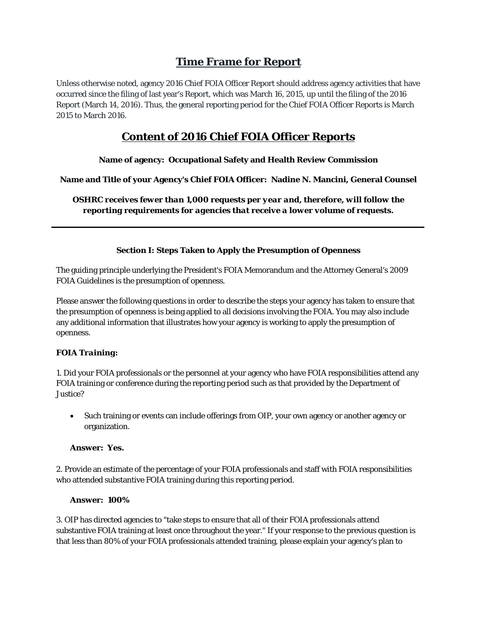# **Time Frame for Report**

Unless otherwise noted, agency 2016 Chief FOIA Officer Report should address agency activities that have occurred since the filing of last year's Report, which was March 16, 2015, up until the filing of the 2016 Report (March 14, 2016). Thus, the general reporting period for the Chief FOIA Officer Reports is March 2015 to March 2016.

# **Content of 2016 Chief FOIA Officer Reports**

# **Name of agency: Occupational Safety and Health Review Commission**

**Name and Title of your Agency's Chief FOIA Officer: Nadine N. Mancini, General Counsel** 

*OSHRC receives fewer than 1,000 requests per year and, therefore, will follow the reporting requirements for agencies that receive a lower volume of requests.* 

# **Section I: Steps Taken to Apply the Presumption of Openness**

The guiding principle underlying the President's FOIA Memorandum and the Attorney General's 2009 FOIA Guidelines is the presumption of openness.

Please answer the following questions in order to describe the steps your agency has taken to ensure that the presumption of openness is being applied to all decisions involving the FOIA. You may also include any additional information that illustrates how your agency is working to apply the presumption of openness.

# *FOIA Training:*

1. Did your FOIA professionals or the personnel at your agency who have FOIA responsibilities attend any FOIA training or conference during the reporting period such as that provided by the Department of Justice?

 Such training or events can include offerings from OIP, your own agency or another agency or organization.

## **Answer: Yes.**

2. Provide an estimate of the percentage of your FOIA professionals and staff with FOIA responsibilities who attended substantive FOIA training during this reporting period.

## **Answer: 100%**

3. OIP has directed agencies to "take steps to ensure that all of their FOIA professionals attend substantive FOIA training at least once throughout the year." If your response to the previous question is that less than 80% of your FOIA professionals attended training, please explain your agency's plan to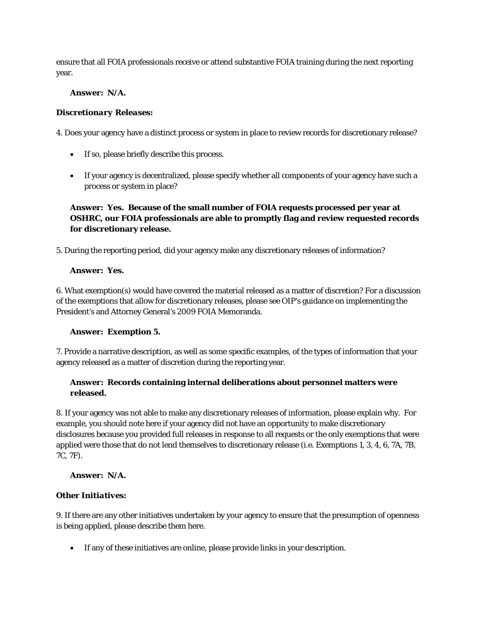ensure that all FOIA professionals receive or attend substantive FOIA training during the next reporting year.

### **Answer: N/A.**

### *Discretionary Releases:*

4. Does your agency have a distinct process or system in place to review records for discretionary release?

- If so, please briefly describe this process.
- If your agency is decentralized, please specify whether all components of your agency have such a process or system in place?

# **Answer: Yes. Because of the small number of FOIA requests processed per year at OSHRC, our FOIA professionals are able to promptly flag and review requested records for discretionary release.**

5. During the reporting period, did your agency make any discretionary releases of information?

### **Answer: Yes.**

6. What exemption(s) would have covered the material released as a matter of discretion? For a discussion of the exemptions that allow for discretionary releases, please see OIP's guidance on implementing the President's and Attorney General's 2009 FOIA Memoranda.

## **Answer: Exemption 5.**

7. Provide a narrative description, as well as some specific examples, of the types of information that your agency released as a matter of discretion during the reporting year.

# **Answer: Records containing internal deliberations about personnel matters were released.**

8. If your agency was not able to make any discretionary releases of information, please explain why. For example, you should note here if your agency did not have an opportunity to make discretionary disclosures because you provided full releases in response to all requests or the only exemptions that were applied were those that do not lend themselves to discretionary release (i.e. Exemptions 1, 3, 4, 6, 7A, 7B, 7C, 7F).

**Answer: N/A.** 

## *Other Initiatives:*

9. If there are any other initiatives undertaken by your agency to ensure that the presumption of openness is being applied, please describe them here.

If any of these initiatives are online, please provide links in your description.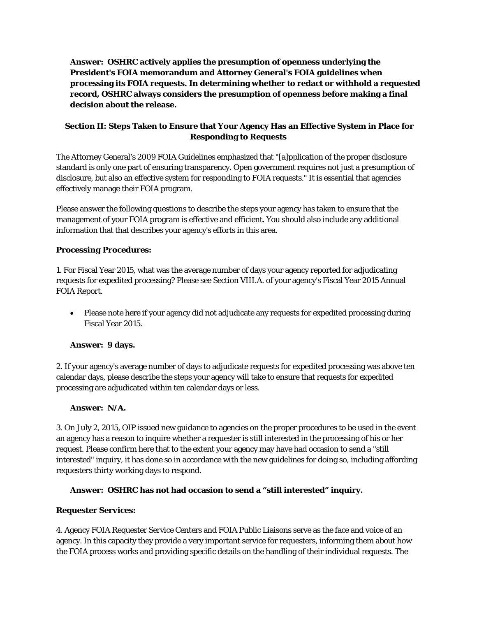**Answer: OSHRC actively applies the presumption of openness underlying the President's FOIA memorandum and Attorney General's FOIA guidelines when processing its FOIA requests. In determining whether to redact or withhold a requested record, OSHRC always considers the presumption of openness before making a final decision about the release.** 

# **Section II: Steps Taken to Ensure that Your Agency Has an Effective System in Place for Responding to Requests**

The Attorney General's 2009 FOIA Guidelines emphasized that "[a]pplication of the proper disclosure standard is only one part of ensuring transparency. Open government requires not just a presumption of disclosure, but also an effective system for responding to FOIA requests." It is essential that agencies effectively manage their FOIA program.

Please answer the following questions to describe the steps your agency has taken to ensure that the management of your FOIA program is effective and efficient. You should also include any additional information that that describes your agency's efforts in this area.

# *Processing Procedures:*

1. For Fiscal Year 2015, what was the average number of days your agency reported for adjudicating requests for expedited processing? Please see Section VIII.A. of your agency's Fiscal Year 2015 Annual FOIA Report.

 Please note here if your agency did not adjudicate any requests for expedited processing during Fiscal Year 2015.

## **Answer: 9 days.**

2. If your agency's average number of days to adjudicate requests for expedited processing was above ten calendar days, please describe the steps your agency will take to ensure that requests for expedited processing are adjudicated within ten calendar days or less.

## **Answer: N/A.**

3. On July 2, 2015, OIP issued new guidance to agencies on the proper procedures to be used in the event an agency has a reason to inquire whether a requester is still interested in the processing of his or her request. Please confirm here that to the extent your agency may have had occasion to send a "still interested" inquiry, it has done so in accordance with the new guidelines for doing so, including affording requesters thirty working days to respond.

## **Answer: OSHRC has not had occasion to send a "still interested" inquiry.**

## *Requester Services:*

4. Agency FOIA Requester Service Centers and FOIA Public Liaisons serve as the face and voice of an agency. In this capacity they provide a very important service for requesters, informing them about how the FOIA process works and providing specific details on the handling of their individual requests. The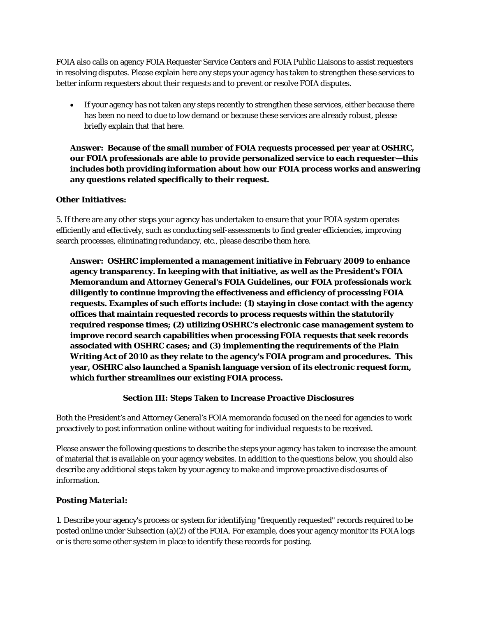FOIA also calls on agency FOIA Requester Service Centers and FOIA Public Liaisons to assist requesters in resolving disputes. Please explain here any steps your agency has taken to strengthen these services to better inform requesters about their requests and to prevent or resolve FOIA disputes.

 If your agency has not taken any steps recently to strengthen these services, either because there has been no need to due to low demand or because these services are already robust, please briefly explain that that here.

**Answer: Because of the small number of FOIA requests processed per year at OSHRC, our FOIA professionals are able to provide personalized service to each requester—this includes both providing information about how our FOIA process works and answering any questions related specifically to their request.** 

## *Other Initiatives:*

5. If there are any other steps your agency has undertaken to ensure that your FOIA system operates efficiently and effectively, such as conducting self-assessments to find greater efficiencies, improving search processes, eliminating redundancy, etc., please describe them here.

**Answer: OSHRC implemented a management initiative in February 2009 to enhance agency transparency. In keeping with that initiative, as well as the President's FOIA Memorandum and Attorney General's FOIA Guidelines, our FOIA professionals work diligently to continue improving the effectiveness and efficiency of processing FOIA requests. Examples of such efforts include: (1) staying in close contact with the agency offices that maintain requested records to process requests within the statutorily required response times; (2) utilizing OSHRC's electronic case management system to improve record search capabilities when processing FOIA requests that seek records associated with OSHRC cases; and (3) implementing the requirements of the Plain Writing Act of 2010 as they relate to the agency's FOIA program and procedures. This year, OSHRC also launched a Spanish language version of its electronic request form, which further streamlines our existing FOIA process.** 

#### **Section III: Steps Taken to Increase Proactive Disclosures**

Both the President's and Attorney General's FOIA memoranda focused on the need for agencies to work proactively to post information online without waiting for individual requests to be received.

Please answer the following questions to describe the steps your agency has taken to increase the amount of material that is available on your agency websites. In addition to the questions below, you should also describe any additional steps taken by your agency to make and improve proactive disclosures of information.

## *Posting Material:*

1. Describe your agency's process or system for identifying "frequently requested" records required to be posted online under Subsection (a)(2) of the FOIA. For example, does your agency monitor its FOIA logs or is there some other system in place to identify these records for posting.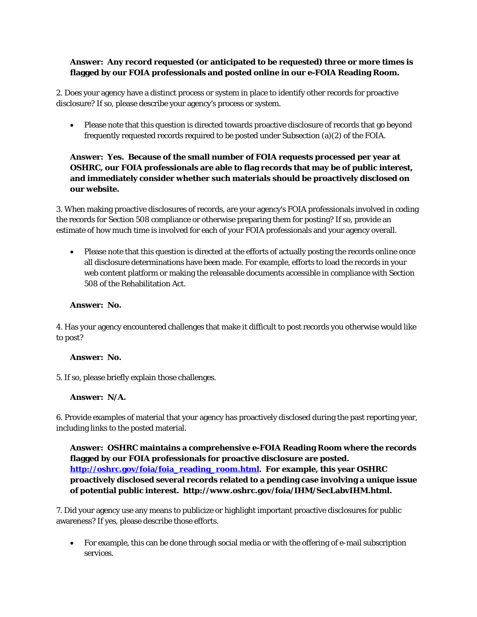# **Answer: Any record requested (or anticipated to be requested) three or more times is flagged by our FOIA professionals and posted online in our e-FOIA Reading Room.**

2. Does your agency have a distinct process or system in place to identify other records for proactive disclosure? If so, please describe your agency's process or system.

 Please note that this question is directed towards proactive disclosure of records that go beyond frequently requested records required to be posted under Subsection (a)(2) of the FOIA.

# **Answer: Yes. Because of the small number of FOIA requests processed per year at OSHRC, our FOIA professionals are able to flag records that may be of public interest, and immediately consider whether such materials should be proactively disclosed on our website.**

3. When making proactive disclosures of records, are your agency's FOIA professionals involved in coding the records for Section 508 compliance or otherwise preparing them for posting? If so, provide an estimate of how much time is involved for each of your FOIA professionals and your agency overall.

 Please note that this question is directed at the efforts of actually posting the records online once all disclosure determinations have been made. For example, efforts to load the records in your web content platform or making the releasable documents accessible in compliance with Section 508 of the Rehabilitation Act.

### **Answer: No.**

4. Has your agency encountered challenges that make it difficult to post records you otherwise would like to post?

#### **Answer: No.**

5. If so, please briefly explain those challenges.

## **Answer: N/A.**

6. Provide examples of material that your agency has proactively disclosed during the past reporting year, including links to the posted material.

**Answer: OSHRC maintains a comprehensive e-FOIA Reading Room where the records flagged by our FOIA professionals for proactive disclosure are posted. http://oshrc.gov/foia/foia\_reading\_room.html. For example, this year OSHRC proactively disclosed several records related to a pending case involving a unique issue of potential public interest. http://www.oshrc.gov/foia/IHM/SecLabvIHM.html.** 

7. Did your agency use any means to publicize or highlight important proactive disclosures for public awareness? If yes, please describe those efforts.

 For example, this can be done through social media or with the offering of e-mail subscription services.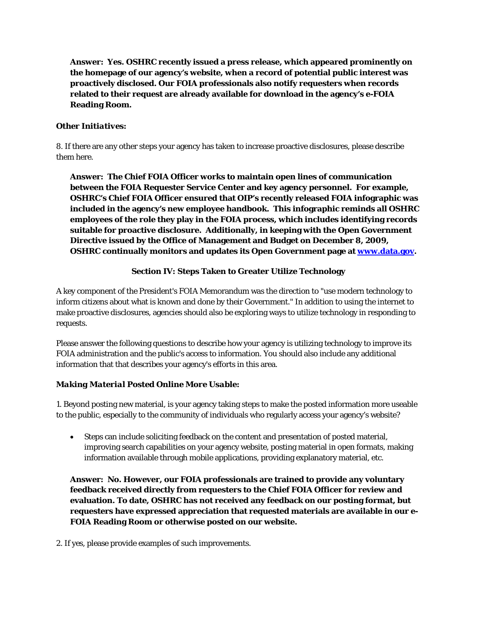**Answer: Yes. OSHRC recently issued a press release, which appeared prominently on the homepage of our agency's website, when a record of potential public interest was proactively disclosed. Our FOIA professionals also notify requesters when records related to their request are already available for download in the agency's e-FOIA Reading Room.**

# *Other Initiatives:*

8. If there are any other steps your agency has taken to increase proactive disclosures, please describe them here.

**Answer: The Chief FOIA Officer works to maintain open lines of communication between the FOIA Requester Service Center and key agency personnel. For example, OSHRC's Chief FOIA Officer ensured that OIP's recently released FOIA infographic was included in the agency's new employee handbook. This infographic reminds all OSHRC employees of the role they play in the FOIA process, which includes identifying records suitable for proactive disclosure. Additionally, in keeping with the Open Government Directive issued by the Office of Management and Budget on December 8, 2009, OSHRC continually monitors and updates its Open Government page at www.data.gov.** 

# **Section IV: Steps Taken to Greater Utilize Technology**

A key component of the President's FOIA Memorandum was the direction to "use modern technology to inform citizens about what is known and done by their Government." In addition to using the internet to make proactive disclosures, agencies should also be exploring ways to utilize technology in responding to requests.

Please answer the following questions to describe how your agency is utilizing technology to improve its FOIA administration and the public's access to information. You should also include any additional information that that describes your agency's efforts in this area.

## *Making Material Posted Online More Usable:*

1. Beyond posting new material, is your agency taking steps to make the posted information more useable to the public, especially to the community of individuals who regularly access your agency's website?

 Steps can include soliciting feedback on the content and presentation of posted material, improving search capabilities on your agency website, posting material in open formats, making information available through mobile applications, providing explanatory material, etc.

**Answer: No. However, our FOIA professionals are trained to provide any voluntary feedback received directly from requesters to the Chief FOIA Officer for review and evaluation. To date, OSHRC has not received any feedback on our posting format, but requesters have expressed appreciation that requested materials are available in our e-FOIA Reading Room or otherwise posted on our website.** 

2. If yes, please provide examples of such improvements.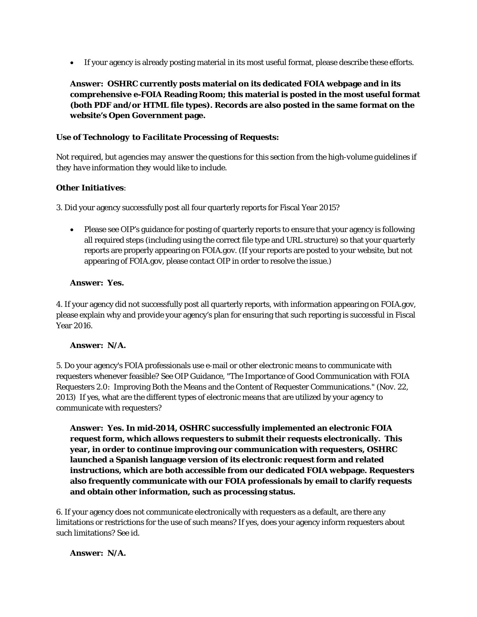If your agency is already posting material in its most useful format, please describe these efforts.

**Answer: OSHRC currently posts material on its dedicated FOIA webpage and in its comprehensive e-FOIA Reading Room; this material is posted in the most useful format (both PDF and/or HTML file types). Records are also posted in the same format on the website's Open Government page.** 

# *Use of Technology to Facilitate Processing of Requests:*

*Not required, but agencies may answer the questions for this section from the high-volume guidelines if they have information they would like to include.*

# *Other Initiatives:*

3. Did your agency successfully post all four quarterly reports for Fiscal Year 2015?

 Please see OIP's guidance for posting of quarterly reports to ensure that your agency is following all required steps (including using the correct file type and URL structure) so that your quarterly reports are properly appearing on FOIA.gov. (If your reports are posted to your website, but not appearing of FOIA.gov, please contact OIP in order to resolve the issue.)

# **Answer: Yes.**

4. If your agency did not successfully post all quarterly reports, with information appearing on FOIA.gov, please explain why and provide your agency's plan for ensuring that such reporting is successful in Fiscal Year 2016.

## **Answer: N/A.**

5. Do your agency's FOIA professionals use e-mail or other electronic means to communicate with requesters whenever feasible? See OIP Guidance, "The Importance of Good Communication with FOIA Requesters 2.0: Improving Both the Means and the Content of Requester Communications." (Nov. 22, 2013) If yes, what are the different types of electronic means that are utilized by your agency to communicate with requesters?

**Answer: Yes. In mid-2014, OSHRC successfully implemented an electronic FOIA request form, which allows requesters to submit their requests electronically. This year, in order to continue improving our communication with requesters, OSHRC launched a Spanish language version of its electronic request form and related instructions, which are both accessible from our dedicated FOIA webpage. Requesters also frequently communicate with our FOIA professionals by email to clarify requests and obtain other information, such as processing status.** 

6. If your agency does not communicate electronically with requesters as a default, are there any limitations or restrictions for the use of such means? If yes, does your agency inform requesters about such limitations? See *id*.

## **Answer: N/A.**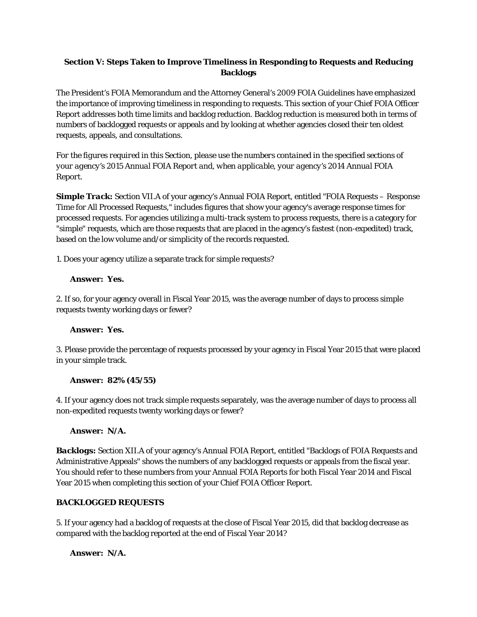# **Section V: Steps Taken to Improve Timeliness in Responding to Requests and Reducing Backlogs**

The President's FOIA Memorandum and the Attorney General's 2009 FOIA Guidelines have emphasized the importance of improving timeliness in responding to requests. This section of your Chief FOIA Officer Report addresses both time limits and backlog reduction. Backlog reduction is measured both in terms of numbers of backlogged requests or appeals and by looking at whether agencies closed their ten oldest requests, appeals, and consultations.

*For the figures required in this Section, please use the numbers contained in the specified sections of your agency's 2015 Annual FOIA Report and, when applicable, your agency's 2014 Annual FOIA Report.*

**Simple Track:** Section VII.A of your agency's Annual FOIA Report, entitled "FOIA Requests – Response Time for All Processed Requests," includes figures that show your agency's average response times for processed requests. For agencies utilizing a multi-track system to process requests, there is a category for "simple" requests, which are those requests that are placed in the agency's fastest (non-expedited) track, based on the low volume and/or simplicity of the records requested.

1. Does your agency utilize a separate track for simple requests?

## **Answer: Yes.**

2. If so, for your agency overall in Fiscal Year 2015, was the average number of days to process simple requests twenty working days or fewer?

## **Answer: Yes.**

3. Please provide the percentage of requests processed by your agency in Fiscal Year 2015 that were placed in your simple track.

#### **Answer: 82% (45/55)**

4. If your agency does not track simple requests separately, was the average number of days to process all non-expedited requests twenty working days or fewer?

## **Answer: N/A.**

*Backlogs:* Section XII.A of your agency's Annual FOIA Report, entitled "Backlogs of FOIA Requests and Administrative Appeals" shows the numbers of any backlogged requests or appeals from the fiscal year. You should refer to these numbers from your Annual FOIA Reports for both Fiscal Year 2014 and Fiscal Year 2015 when completing this section of your Chief FOIA Officer Report.

### **BACKLOGGED REQUESTS**

5. If your agency had a backlog of requests at the close of Fiscal Year 2015, did that backlog decrease as compared with the backlog reported at the end of Fiscal Year 2014?

## **Answer: N/A.**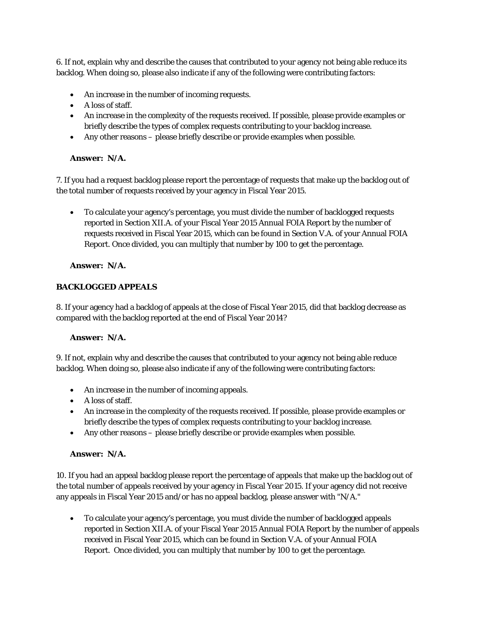6. If not, explain why and describe the causes that contributed to your agency not being able reduce its backlog. When doing so, please also indicate if any of the following were contributing factors:

- An increase in the number of incoming requests.
- $\bullet$  A loss of staff.
- An increase in the complexity of the requests received. If possible, please provide examples or briefly describe the types of complex requests contributing to your backlog increase.
- Any other reasons please briefly describe or provide examples when possible.

### **Answer: N/A.**

7. If you had a request backlog please report the percentage of requests that make up the backlog out of the total number of requests *received* by your agency in Fiscal Year 2015.

 To calculate your agency's percentage, you must divide the number of backlogged requests reported in Section XII.A. of your Fiscal Year 2015 Annual FOIA Report by the number of requests received in Fiscal Year 2015, which can be found in Section V.A. of your Annual FOIA Report. Once divided, you can multiply that number by 100 to get the percentage.

### **Answer: N/A.**

## **BACKLOGGED APPEALS**

8. If your agency had a backlog of appeals at the close of Fiscal Year 2015, did that backlog decrease as compared with the backlog reported at the end of Fiscal Year 2014?

#### **Answer: N/A.**

9. If not, explain why and describe the causes that contributed to your agency not being able reduce backlog. When doing so, please also indicate if any of the following were contributing factors:

- An increase in the number of incoming appeals.
- A loss of staff.
- An increase in the complexity of the requests received. If possible, please provide examples or briefly describe the types of complex requests contributing to your backlog increase.
- Any other reasons please briefly describe or provide examples when possible.

#### **Answer: N/A.**

10. If you had an appeal backlog please report the percentage of appeals that make up the backlog out of the total number of appeals *received* by your agency in Fiscal Year 2015. If your agency did not receive any appeals in Fiscal Year 2015 and/or has no appeal backlog, please answer with "N/A."

 To calculate your agency's percentage, you must divide the number of backlogged appeals reported in Section XII.A. of your Fiscal Year 2015 Annual FOIA Report by the number of appeals received in Fiscal Year 2015, which can be found in Section V.A. of your Annual FOIA Report. Once divided, you can multiply that number by 100 to get the percentage.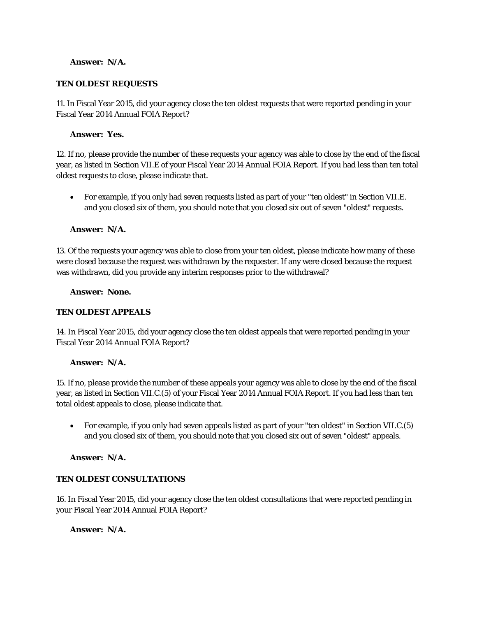### **Answer: N/A.**

### **TEN OLDEST REQUESTS**

11. In Fiscal Year 2015, did your agency close the ten oldest requests that were reported pending in your Fiscal Year 2014 Annual FOIA Report?

### **Answer: Yes.**

12. If no, please provide the number of these requests your agency was able to close by the end of the fiscal year, as listed in Section VII.E of your Fiscal Year 2014 Annual FOIA Report. If you had less than ten total oldest requests to close, please indicate that.

 For example, if you only had seven requests listed as part of your "ten oldest" in Section VII.E. and you closed six of them, you should note that you closed six out of seven "oldest" requests.

### **Answer: N/A.**

13. Of the requests your agency was able to close from your ten oldest, please indicate how many of these were closed because the request was withdrawn by the requester. If any were closed because the request was withdrawn, did you provide any interim responses prior to the withdrawal?

#### **Answer: None.**

#### **TEN OLDEST APPEALS**

14. In Fiscal Year 2015, did your agency close the ten oldest appeals that were reported pending in your Fiscal Year 2014 Annual FOIA Report?

#### **Answer: N/A.**

15. If no, please provide the number of these appeals your agency was able to close by the end of the fiscal year, as listed in Section VII.C.(5) of your Fiscal Year 2014 Annual FOIA Report. If you had less than ten total oldest appeals to close, please indicate that.

 For example, if you only had seven appeals listed as part of your "ten oldest" in Section VII.C.(5) and you closed six of them, you should note that you closed six out of seven "oldest" appeals.

#### **Answer: N/A.**

## **TEN OLDEST CONSULTATIONS**

16. In Fiscal Year 2015, did your agency close the ten oldest consultations that were reported pending in your Fiscal Year 2014 Annual FOIA Report?

#### **Answer: N/A.**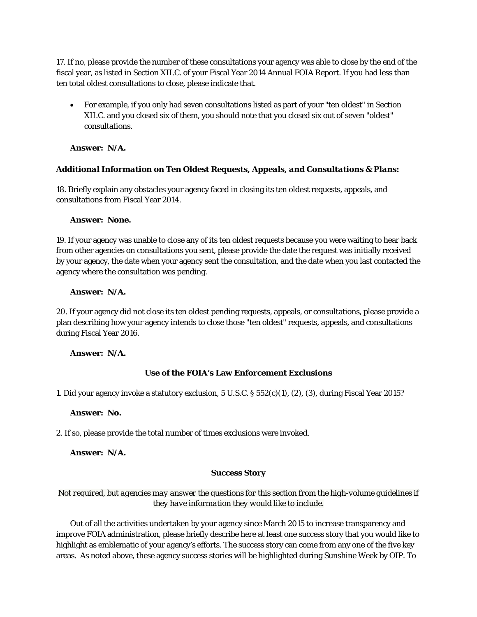17. If no, please provide the number of these consultations your agency was able to close by the end of the fiscal year, as listed in Section XII.C. of your Fiscal Year 2014 Annual FOIA Report. If you had less than ten total oldest consultations to close, please indicate that.

 For example, if you only had seven consultations listed as part of your "ten oldest" in Section XII.C. and you closed six of them, you should note that you closed six out of seven "oldest" consultations.

**Answer: N/A.** 

## *Additional Information on Ten Oldest Requests, Appeals, and Consultations & Plans:*

18. Briefly explain any obstacles your agency faced in closing its ten oldest requests, appeals, and consultations from Fiscal Year 2014.

#### **Answer: None.**

19. If your agency was unable to close any of its ten oldest requests because you were waiting to hear back from other agencies on consultations you sent, please provide the date the request was initially received by your agency, the date when your agency sent the consultation, and the date when you last contacted the agency where the consultation was pending.

### **Answer: N/A.**

20. If your agency did not close its ten oldest pending requests, appeals, or consultations, please provide a plan describing how your agency intends to close those "ten oldest" requests, appeals, and consultations during Fiscal Year 2016.

#### **Answer: N/A.**

# **Use of the FOIA's Law Enforcement Exclusions**

1. Did your agency invoke a statutory exclusion, 5 U.S.C. § 552(c)(1), (2), (3), during Fiscal Year 2015?

#### **Answer: No.**

2. If so, please provide the total number of times exclusions were invoked.

#### **Answer: N/A.**

#### **Success Story**

# *Not required, but agencies may answer the questions for this section from the high-volume guidelines if they have information they would like to include.*

Out of all the activities undertaken by your agency since March 2015 to increase transparency and improve FOIA administration, please briefly describe here at least one success story that you would like to highlight as emblematic of your agency's efforts. The success story can come from any one of the five key areas. As noted above, these agency success stories will be highlighted during Sunshine Week by OIP. To